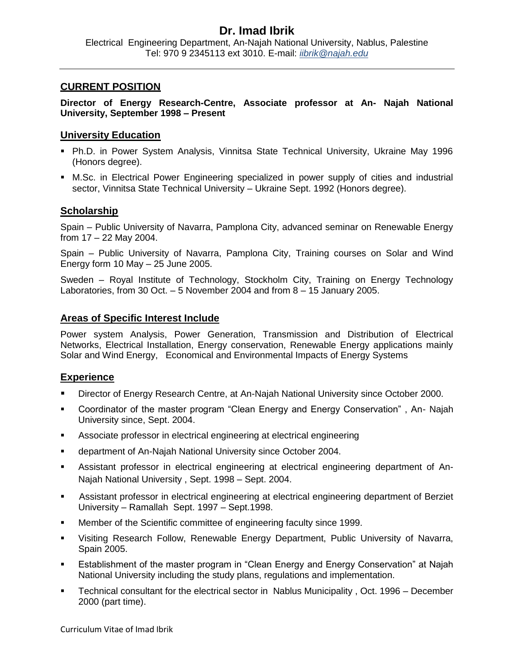# **Dr. Imad Ibrik**

Electrical Engineering Department, An-Najah National University, Nablus, Palestine Tel: 970 9 2345113 ext 3010. E-mail: *iibrik@najah.edu*

### **CURRENT POSITION**

**Director of Energy Research-Centre, Associate professor at An- Najah National University, September 1998 – Present**

### **University Education**

- Ph.D. in Power System Analysis, Vinnitsa State Technical University, Ukraine May 1996 (Honors degree).
- M.Sc. in Electrical Power Engineering specialized in power supply of cities and industrial sector, Vinnitsa State Technical University – Ukraine Sept. 1992 (Honors degree).

### **Scholarship**

Spain – Public University of Navarra, Pamplona City, advanced seminar on Renewable Energy from 17 – 22 May 2004.

Spain – Public University of Navarra, Pamplona City, Training courses on Solar and Wind Energy form 10 May – 25 June 2005.

Sweden – Royal Institute of Technology, Stockholm City, Training on Energy Technology Laboratories, from 30 Oct. – 5 November 2004 and from 8 – 15 January 2005.

### **Areas of Specific Interest Include**

Power system Analysis, Power Generation, Transmission and Distribution of Electrical Networks, Electrical Installation, Energy conservation, Renewable Energy applications mainly Solar and Wind Energy, Economical and Environmental Impacts of Energy Systems

## **Experience**

- Director of Energy Research Centre, at An-Najah National University since October 2000.
- Coordinator of the master program "Clean Energy and Energy Conservation" , An- Najah University since, Sept. 2004.
- Associate professor in electrical engineering at electrical engineering
- department of An-Najah National University since October 2004.
- Assistant professor in electrical engineering at electrical engineering department of An-Najah National University , Sept. 1998 – Sept. 2004.
- Assistant professor in electrical engineering at electrical engineering department of Berziet University – Ramallah Sept. 1997 – Sept.1998.
- Member of the Scientific committee of engineering faculty since 1999.
- Visiting Research Follow, Renewable Energy Department, Public University of Navarra, Spain 2005.
- Establishment of the master program in "Clean Energy and Energy Conservation" at Najah National University including the study plans, regulations and implementation.
- Technical consultant for the electrical sector in Nablus Municipality , Oct. 1996 December 2000 (part time).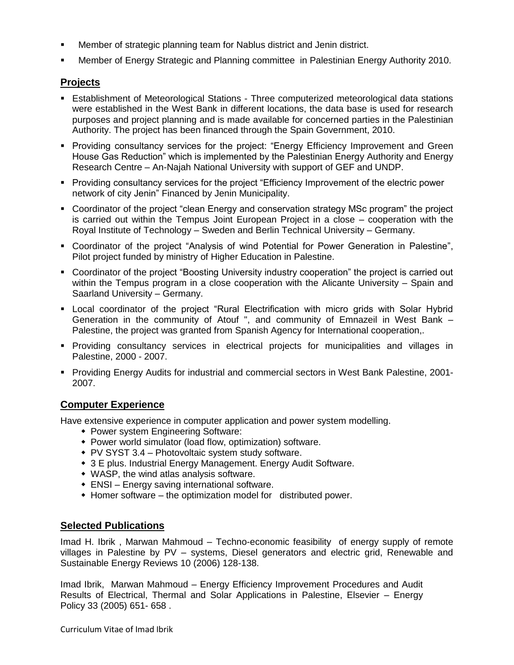- Member of strategic planning team for Nablus district and Jenin district.
- Member of Energy Strategic and Planning committee in Palestinian Energy Authority 2010.

# **Projects**

- Establishment of Meteorological Stations Three computerized meteorological data stations were established in the West Bank in different locations, the data base is used for research purposes and project planning and is made available for concerned parties in the Palestinian Authority. The project has been financed through the Spain Government, 2010.
- **Providing consultancy services for the project: "Energy Efficiency Improvement and Green** House Gas Reduction" which is implemented by the Palestinian Energy Authority and Energy Research Centre – An-Najah National University with support of GEF and UNDP.
- Providing consultancy services for the project "Efficiency Improvement of the electric power network of city Jenin" Financed by Jenin Municipality.
- Coordinator of the project "clean Energy and conservation strategy MSc program" the project is carried out within the Tempus Joint European Project in a close – cooperation with the Royal Institute of Technology – Sweden and Berlin Technical University – Germany.
- Coordinator of the project "Analysis of wind Potential for Power Generation in Palestine", Pilot project funded by ministry of Higher Education in Palestine.
- Coordinator of the project "Boosting University industry cooperation" the project is carried out within the Tempus program in a close cooperation with the Alicante University – Spain and Saarland University – Germany.
- Local coordinator of the project "Rural Electrification with micro grids with Solar Hybrid Generation in the community of Atouf ", and community of Emnazeil in West Bank – Palestine, the project was granted from Spanish Agency for International cooperation,.
- Providing consultancy services in electrical projects for municipalities and villages in Palestine, 2000 - 2007.
- Providing Energy Audits for industrial and commercial sectors in West Bank Palestine, 2001- 2007.

# **Computer Experience**

Have extensive experience in computer application and power system modelling.

- Power system Engineering Software:
- Power world simulator (load flow, optimization) software.
- PV SYST 3.4 Photovoltaic system study software.
- 3 E plus. Industrial Energy Management. Energy Audit Software.
- WASP, the wind atlas analysis software.
- ENSI Energy saving international software.
- Homer software the optimization model for distributed power.

### **Selected Publications**

Imad H. Ibrik , Marwan Mahmoud – Techno-economic feasibility of energy supply of remote villages in Palestine by PV – systems, Diesel generators and electric grid, Renewable and Sustainable Energy Reviews 10 (2006) 128-138.

Imad Ibrik, Marwan Mahmoud – Energy Efficiency Improvement Procedures and Audit Results of Electrical, Thermal and Solar Applications in Palestine, Elsevier – Energy Policy 33 (2005) 651- 658 .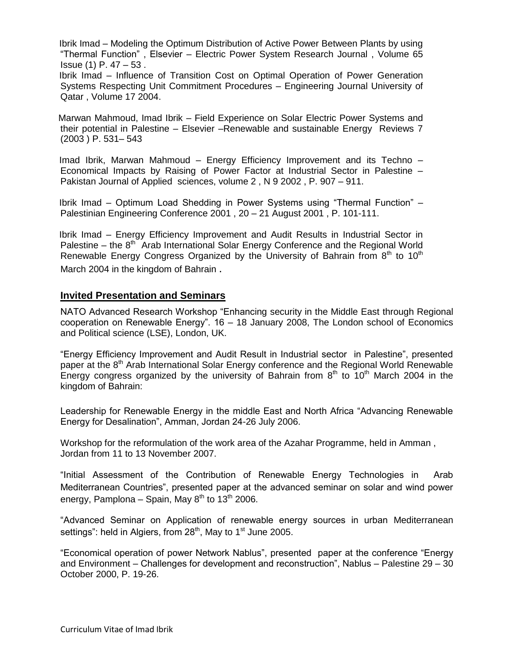Ibrik Imad – Modeling the Optimum Distribution of Active Power Between Plants by using "Thermal Function" , Elsevier – Electric Power System Research Journal , Volume 65 Issue (1) P. 47 – 53 .

 Ibrik Imad – Influence of Transition Cost on Optimal Operation of Power Generation Systems Respecting Unit Commitment Procedures – Engineering Journal University of Qatar , Volume 17 2004.

 Marwan Mahmoud, Imad Ibrik – Field Experience on Solar Electric Power Systems and their potential in Palestine – Elsevier –Renewable and sustainable Energy Reviews 7 (2003 ) P. 531– 543

 Imad Ibrik, Marwan Mahmoud – Energy Efficiency Improvement and its Techno – Economical Impacts by Raising of Power Factor at Industrial Sector in Palestine – Pakistan Journal of Applied sciences, volume 2 , N 9 2002 , P. 907 – 911.

 Ibrik Imad – Optimum Load Shedding in Power Systems using "Thermal Function" – Palestinian Engineering Conference 2001 , 20 – 21 August 2001 , P. 101-111.

 Ibrik Imad – Energy Efficiency Improvement and Audit Results in Industrial Sector in Palestine  $-$  the  $8<sup>th</sup>$  Arab International Solar Energy Conference and the Regional World Renewable Energy Congress Organized by the University of Bahrain from  $8<sup>th</sup>$  to  $10<sup>th</sup>$ March 2004 in the kingdom of Bahrain .

#### **Invited Presentation and Seminars**

NATO Advanced Research Workshop "Enhancing security in the Middle East through Regional cooperation on Renewable Energy". 16 – 18 January 2008, The London school of Economics and Political science (LSE), London, UK.

"Energy Efficiency Improvement and Audit Result in Industrial sector in Palestine", presented paper at the  $8<sup>th</sup>$  Arab International Solar Energy conference and the Regional World Renewable Energy congress organized by the university of Bahrain from  $8<sup>th</sup>$  to 10<sup>th</sup> March 2004 in the kingdom of Bahrain:

Leadership for Renewable Energy in the middle East and North Africa "Advancing Renewable Energy for Desalination", Amman, Jordan 24-26 July 2006.

Workshop for the reformulation of the work area of the Azahar Programme, held in Amman , Jordan from 11 to 13 November 2007.

"Initial Assessment of the Contribution of Renewable Energy Technologies in Arab Mediterranean Countries", presented paper at the advanced seminar on solar and wind power energy, Pamplona – Spain, May  $8<sup>th</sup>$  to 13<sup>th</sup> 2006.

"Advanced Seminar on Application of renewable energy sources in urban Mediterranean settings": held in Algiers, from  $28<sup>th</sup>$ , May to 1<sup>st</sup> June 2005.

"Economical operation of power Network Nablus", presented paper at the conference "Energy and Environment – Challenges for development and reconstruction", Nablus – Palestine 29 – 30 October 2000, P. 19-26.